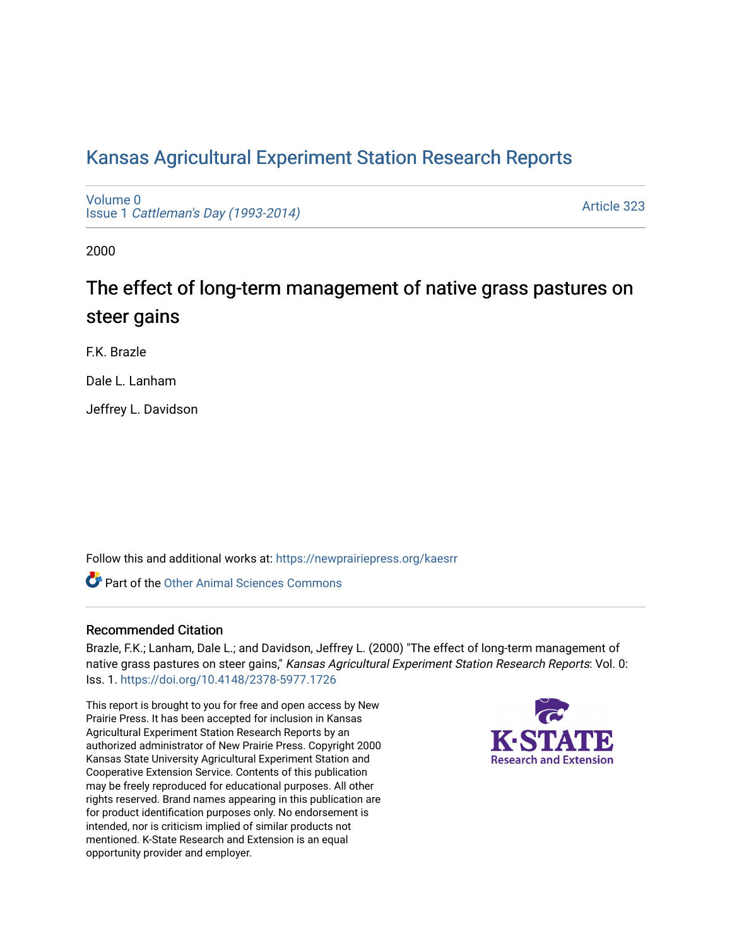# [Kansas Agricultural Experiment Station Research Reports](https://newprairiepress.org/kaesrr)

[Volume 0](https://newprairiepress.org/kaesrr/vol0) Issue 1 [Cattleman's Day \(1993-2014\)](https://newprairiepress.org/kaesrr/vol0/iss1) 

[Article 323](https://newprairiepress.org/kaesrr/vol0/iss1/323) 

2000

# The effect of long-term management of native grass pastures on steer gains

F.K. Brazle

Dale L. Lanham

Jeffrey L. Davidson

Follow this and additional works at: [https://newprairiepress.org/kaesrr](https://newprairiepress.org/kaesrr?utm_source=newprairiepress.org%2Fkaesrr%2Fvol0%2Fiss1%2F323&utm_medium=PDF&utm_campaign=PDFCoverPages) 

**C** Part of the [Other Animal Sciences Commons](http://network.bepress.com/hgg/discipline/82?utm_source=newprairiepress.org%2Fkaesrr%2Fvol0%2Fiss1%2F323&utm_medium=PDF&utm_campaign=PDFCoverPages)

### Recommended Citation

Brazle, F.K.; Lanham, Dale L.; and Davidson, Jeffrey L. (2000) "The effect of long-term management of native grass pastures on steer gains," Kansas Agricultural Experiment Station Research Reports: Vol. 0: Iss. 1. <https://doi.org/10.4148/2378-5977.1726>

This report is brought to you for free and open access by New Prairie Press. It has been accepted for inclusion in Kansas Agricultural Experiment Station Research Reports by an authorized administrator of New Prairie Press. Copyright 2000 Kansas State University Agricultural Experiment Station and Cooperative Extension Service. Contents of this publication may be freely reproduced for educational purposes. All other rights reserved. Brand names appearing in this publication are for product identification purposes only. No endorsement is intended, nor is criticism implied of similar products not mentioned. K-State Research and Extension is an equal opportunity provider and employer.

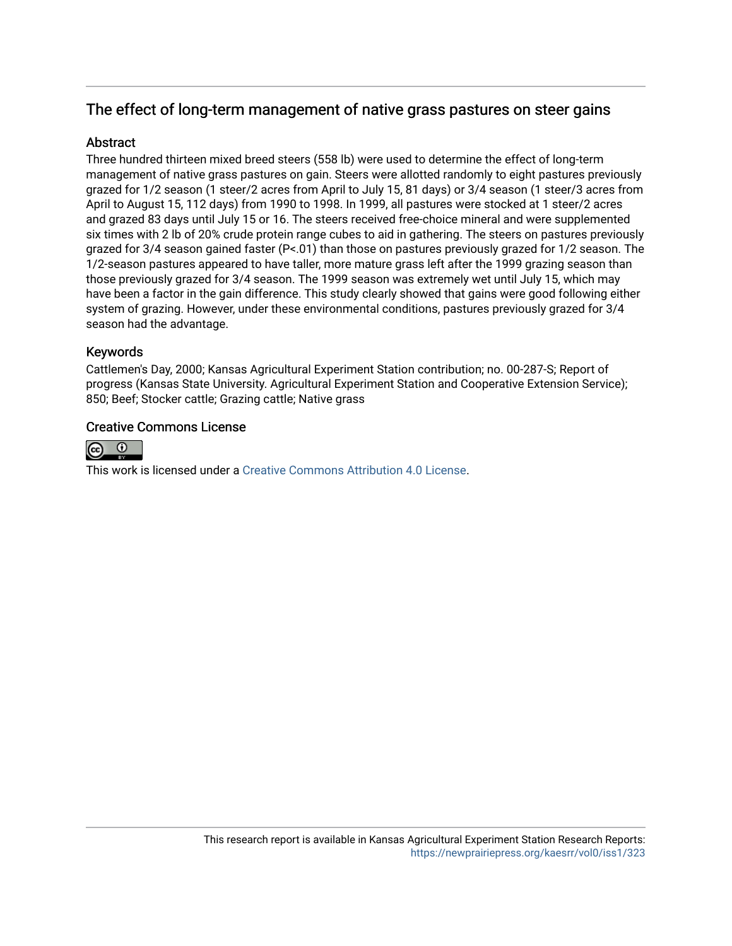# The effect of long-term management of native grass pastures on steer gains

# **Abstract**

Three hundred thirteen mixed breed steers (558 lb) were used to determine the effect of long-term management of native grass pastures on gain. Steers were allotted randomly to eight pastures previously grazed for 1/2 season (1 steer/2 acres from April to July 15, 81 days) or 3/4 season (1 steer/3 acres from April to August 15, 112 days) from 1990 to 1998. In 1999, all pastures were stocked at 1 steer/2 acres and grazed 83 days until July 15 or 16. The steers received free-choice mineral and were supplemented six times with 2 lb of 20% crude protein range cubes to aid in gathering. The steers on pastures previously grazed for 3/4 season gained faster (P<.01) than those on pastures previously grazed for 1/2 season. The 1/2-season pastures appeared to have taller, more mature grass left after the 1999 grazing season than those previously grazed for 3/4 season. The 1999 season was extremely wet until July 15, which may have been a factor in the gain difference. This study clearly showed that gains were good following either system of grazing. However, under these environmental conditions, pastures previously grazed for 3/4 season had the advantage.

# Keywords

Cattlemen's Day, 2000; Kansas Agricultural Experiment Station contribution; no. 00-287-S; Report of progress (Kansas State University. Agricultural Experiment Station and Cooperative Extension Service); 850; Beef; Stocker cattle; Grazing cattle; Native grass

# Creative Commons License



This work is licensed under a [Creative Commons Attribution 4.0 License](https://creativecommons.org/licenses/by/4.0/).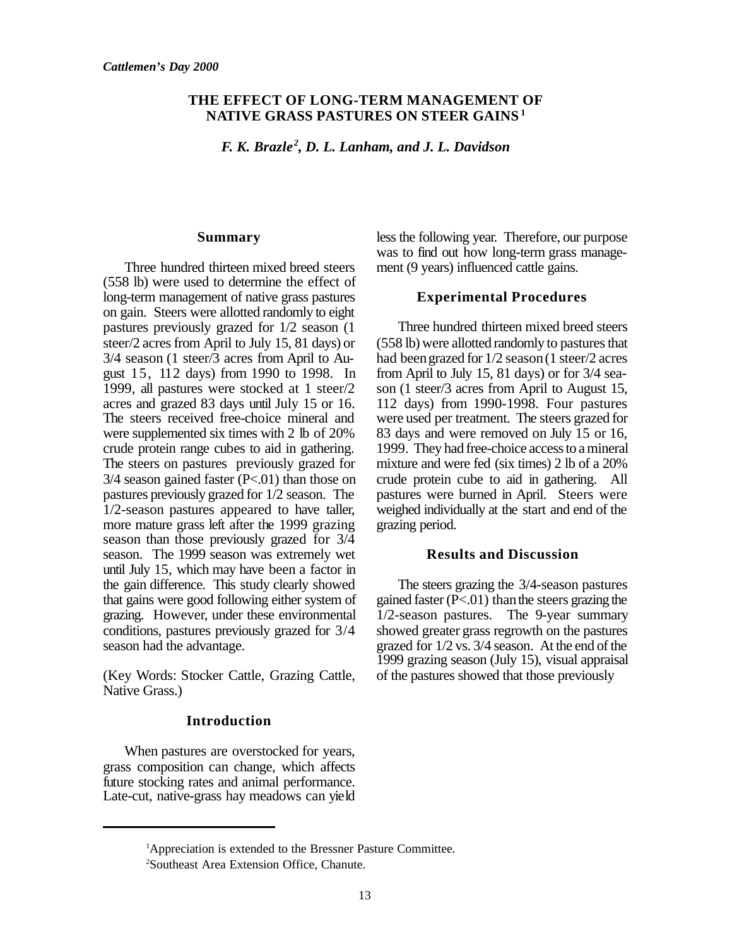#### **THE EFFECT OF LONG-TERM MANAGEMENT OF NATIVE GRASS PASTURES ON STEER GAINS<sup>1</sup>**

*F. K. Brazle<sup>2</sup> , D. L. Lanham, and J. L. Davidson*

#### **Summary**

Three hundred thirteen mixed breed steers (558 lb) were used to determine the effect of long-term management of native grass pastures on gain. Steers were allotted randomly to eight pastures previously grazed for 1/2 season (1 steer/2 acres from April to July 15, 81 days) or 3/4 season (1 steer/3 acres from April to August 15, 112 days) from 1990 to 1998. In 1999, all pastures were stocked at 1 steer/2 acres and grazed 83 days until July 15 or 16. The steers received free-choice mineral and were supplemented six times with 2 lb of 20% crude protein range cubes to aid in gathering. The steers on pastures previously grazed for  $3/4$  season gained faster (P<.01) than those on pastures previously grazed for 1/2 season. The 1/2-season pastures appeared to have taller, more mature grass left after the 1999 grazing season than those previously grazed for 3/4 season. The 1999 season was extremely wet until July 15, which may have been a factor in the gain difference. This study clearly showed that gains were good following either system of grazing. However, under these environmental conditions, pastures previously grazed for 3/4 season had the advantage.

(Key Words: Stocker Cattle, Grazing Cattle, Native Grass.)

#### **Introduction**

When pastures are overstocked for years, grass composition can change, which affects future stocking rates and animal performance. Late-cut, native-grass hay meadows can yield

less the following year. Therefore, our purpose was to find out how long-term grass management (9 years) influenced cattle gains.

#### **Experimental Procedures**

Three hundred thirteen mixed breed steers  $(558$  lb) were allotted randomly to pastures that had been grazed for  $1/2$  season (1 steer/2 acres from April to July 15, 81 days) or for 3/4 season (1 steer/3 acres from April to August 15, 112 days) from 1990-1998. Four pastures were used per treatment. The steers grazed for 83 days and were removed on July 15 or 16, 1999. They had free-choice access to a mineral mixture and were fed (six times) 2 lb of a 20% crude protein cube to aid in gathering. All pastures were burned in April. Steers were weighed individually at the start and end of the grazing period.

#### **Results and Discussion**

The steers grazing the 3/4-season pastures gained faster  $(P<.01)$  than the steers grazing the 1/2-season pastures. The 9-year summary showed greater grass regrowth on the pastures grazed for 1/2 vs. 3/4 season. At the end of the 1999 grazing season (July 15), visual appraisal of the pastures showed that those previously

<sup>1</sup>Appreciation is extended to the Bressner Pasture Committee.

<sup>2</sup>Southeast Area Extension Office, Chanute.